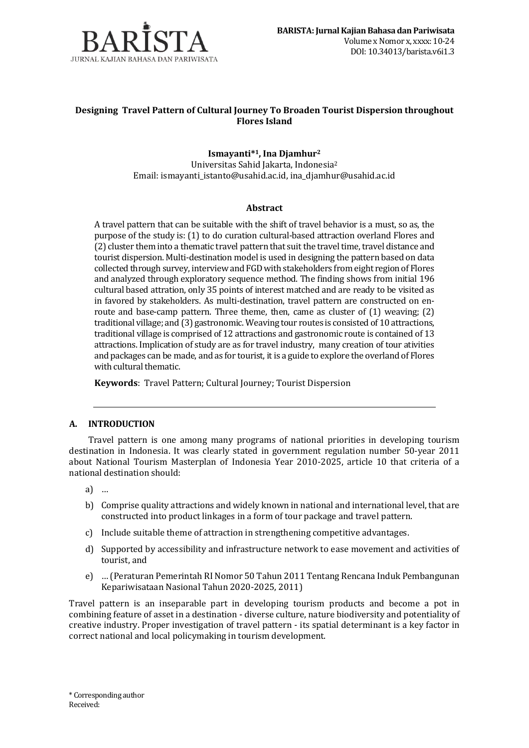

## **Designing Travel Pattern of Cultural Journey To Broaden Tourist Dispersion throughout Flores Island**

**Ismayanti\* <sup>1</sup>, Ina Djamhur<sup>2</sup>** Universitas Sahid Jakarta, Indonesia<sup>2</sup> Email: ismayanti\_istanto@usahid.ac.id, ina\_djamhur@usahid.ac.id

### **Abstract**

A travel pattern that can be suitable with the shift of travel behavior is a must, so as, the purpose of the study is: (1) to do curation cultural-based attraction overland Flores and (2) cluster them into a thematic travel pattern that suit the travel time, travel distance and tourist dispersion. Multi-destination model is used in designing the pattern based on data collected through survey, interview and FGD with stakeholders from eight region of Flores and analyzed through exploratory sequence method. The finding shows from initial 196 cultural based attration, only 35 points of interest matched and are ready to be visited as in favored by stakeholders. As multi-destination, travel pattern are constructed on enroute and base-camp pattern. Three theme, then, came as cluster of  $(1)$  weaving;  $(2)$ traditional village; and (3) gastronomic.Weaving tour routes is consisted of 10 attractions, traditional village is comprised of 12 attractions and gastronomic route is contained of 13 attractions. Implication of study are as for travel industry, many creation of tour ativities and packages can be made, and as for tourist, it is a guide to explore the overland of Flores with cultural thematic.

**Keywords**: Travel Pattern; Cultural Journey; Tourist Dispersion

### **A. INTRODUCTION**

Travel pattern is one among many programs of national priorities in developing tourism destination in Indonesia. It was clearly stated in government regulation number 50-year 2011 about National Tourism Masterplan of Indonesia Year 2010-2025, article 10 that criteria of a national destination should:

- a) …
- b) Comprise quality attractions and widely known in national and international level, that are constructed into product linkages in a form of tour package and travel pattern.
- c) Include suitable theme of attraction in strengthening competitive advantages.
- d) Supported by accessibility and infrastructure network to ease movement and activities of tourist, and
- e) … (Peraturan Pemerintah RI Nomor 50 Tahun 2011 Tentang Rencana Induk Pembangunan Kepariwisataan Nasional Tahun 2020-2025, 2011)

Travel pattern is an inseparable part in developing tourism products and become a pot in combining feature of asset in a destination - diverse culture, nature biodiversity and potentiality of creative industry. Proper investigation of travel pattern - its spatial determinant is a key factor in correct national and local policymaking in tourism development.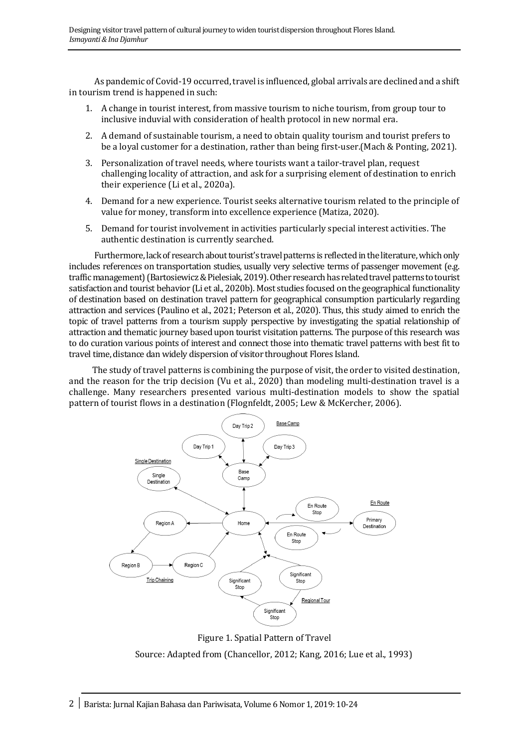As pandemic of Covid-19 occurred, travel is influenced, global arrivals are declined and a shift in tourism trend is happened in such:

- 1. A change in tourist interest, from massive tourism to niche tourism, from group tour to inclusive induvial with consideration of health protocol in new normal era.
- 2. A demand of sustainable tourism, a need to obtain quality tourism and tourist prefers to be a loyal customer for a destination, rather than being first-user.(Mach & Ponting, 2021).
- 3. Personalization of travel needs, where tourists want a tailor-travel plan, request challenging locality of attraction, and ask for a surprising element of destination to enrich their experience (Li et al., 2020a).
- 4. Demand for a new experience. Tourist seeks alternative tourism related to the principle of value for money, transform into excellence experience (Matiza, 2020).
- 5. Demand for tourist involvement in activities particularly special interest activities. The authentic destination is currently searched.

Furthermore, lack of research about tourist's travel patterns is reflected in the literature, which only includes references on transportation studies, usually very selective terms of passenger movement (e.g. traffic management) (Bartosiewicz & Pielesiak, 2019). Other research has related travel patterns to tourist satisfaction and tourist behavior (Li et al., 2020b). Most studies focused on the geographical functionality of destination based on destination travel pattern for geographical consumption particularly regarding attraction and services (Paulino et al., 2021; Peterson et al., 2020). Thus, this study aimed to enrich the topic of travel patterns from a tourism supply perspective by investigating the spatial relationship of attraction and thematic journey based upon tourist visitation patterns. The purpose of this research was to do curation various points of interest and connect those into thematic travel patterns with best fit to travel time, distance dan widely dispersion of visitor throughout Flores Island.

 The study of travel patterns is combining the purpose of visit, the order to visited destination, and the reason for the trip decision (Vu et al., 2020) than modeling multi-destination travel is a challenge. Many researchers presented various multi-destination models to show the spatial pattern of tourist flows in a destination (Flognfeldt, 2005; Lew & McKercher, 2006).



Figure 1. Spatial Pattern of Travel Source: Adapted from (Chancellor, 2012; Kang, 2016; Lue et al., 1993)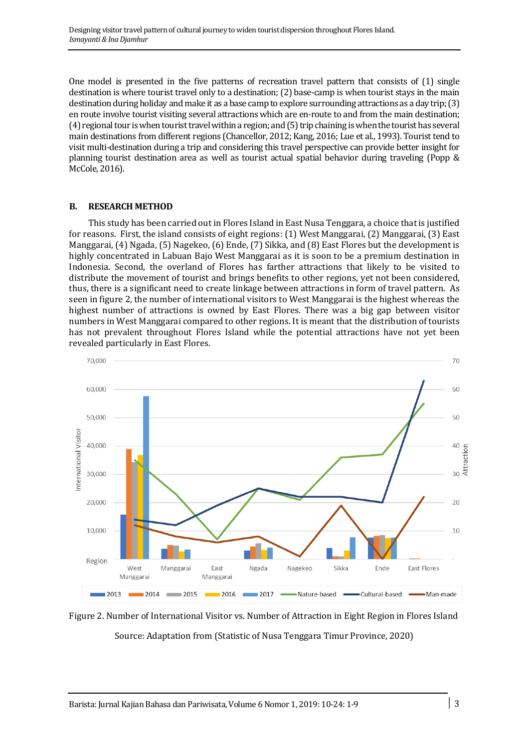One model is presented in the five patterns of recreation travel pattern that consists of (1) single destination is where tourist travel only to a destination; (2) base-camp is when tourist stays in the main destination during holiday and make it as a base camp to explore surrounding attractions as a day trip; (3) en route involve tourist visiting several attractions which are en-route to and from the main destination; (4) regional tour is when tourist travel within a region; and (5) trip chaining is when the tourist has several main destinations from different regions (Chancellor, 2012; Kang, 2016; Lue et al., 1993). Tourist tend to visit multi-destination during a trip and considering this travel perspective can provide better insight for planning tourist destination area as well as tourist actual spatial behavior during traveling (Popp & McCole, 2016).

### **B. RESEARCH METHOD**

This study has been carried out in Flores Island in East Nusa Tenggara, a choice that is justified for reasons. First, the island consists of eight regions: (1) West Manggarai, (2) Manggarai, (3) East Manggarai, (4) Ngada, (5) Nagekeo, (6) Ende, (7) Sikka, and (8) East Flores but the development is highly concentrated in Labuan Bajo West Manggarai as it is soon to be a premium destination in Indonesia. Second, the overland of Flores has farther attractions that likely to be visited to distribute the movement of tourist and brings benefits to other regions, yet not been considered, thus, there is a significant need to create linkage between attractions in form of travel pattern. As seen in figure 2, the number of international visitors to West Manggarai is the highest whereas the highest number of attractions is owned by East Flores. There was a big gap between visitor numbers in West Manggarai compared to other regions. It is meant that the distribution of tourists has not prevalent throughout Flores Island while the potential attractions have not yet been revealed particularly in East Flores.



Figure 2. Number of International Visitor vs. Number of Attraction in Eight Region in Flores Island Source: Adaptation from (Statistic of Nusa Tenggara Timur Province, 2020)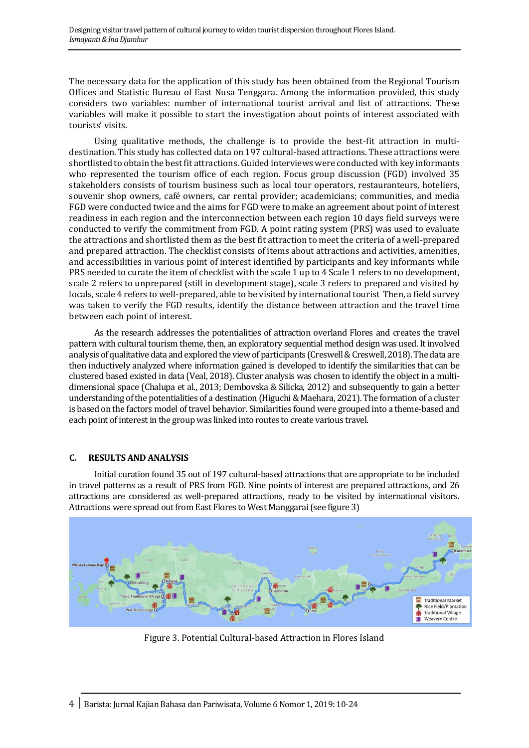The necessary data for the application of this study has been obtained from the Regional Tourism Offices and Statistic Bureau of East Nusa Tenggara. Among the information provided, this study considers two variables: number of international tourist arrival and list of attractions. These variables will make it possible to start the investigation about points of interest associated with tourists' visits.

Using qualitative methods, the challenge is to provide the best-fit attraction in multidestination. This study has collected data on 197 cultural-based attractions. These attractions were shortlisted to obtain the best fit attractions. Guided interviews were conducted with key informants who represented the tourism office of each region. Focus group discussion (FGD) involved 35 stakeholders consists of tourism business such as local tour operators, restauranteurs, hoteliers, souvenir shop owners, café owners, car rental provider; academicians; communities, and media FGD were conducted twice and the aims for FGD were to make an agreement about point of interest readiness in each region and the interconnection between each region 10 days field surveys were conducted to verify the commitment from FGD. A point rating system (PRS) was used to evaluate the attractions and shortlisted them as the best fit attraction to meet the criteria of a well-prepared and prepared attraction. The checklist consists of items about attractions and activities, amenities, and accessibilities in various point of interest identified by participants and key informants while PRS needed to curate the item of checklist with the scale 1 up to 4 Scale 1 refers to no development, scale 2 refers to unprepared (still in development stage), scale 3 refers to prepared and visited by locals, scale 4 refers to well-prepared, able to be visited by international tourist Then, a field survey was taken to verify the FGD results, identify the distance between attraction and the travel time between each point of interest.

As the research addresses the potentialities of attraction overland Flores and creates the travel pattern with cultural tourism theme, then, an exploratory sequential method design was used. It involved analysis of qualitative data and explored the view of participants (Creswell & Creswell, 2018).The data are then inductively analyzed where information gained is developed to identify the similarities that can be clustered based existed in data (Veal, 2018). Cluster analysis was chosen to identify the object in a multidimensional space (Chalupa et al., 2013; Dembovska & Silicka, 2012) and subsequently to gain a better understanding of the potentialities of a destination (Higuchi & Maehara, 2021). The formation of a cluster is based on the factors model of travel behavior. Similarities found were grouped into a theme-based and each point of interest in the group was linked into routes to create various travel.

# **C. RESULTS AND ANALYSIS**

Initial curation found 35 out of 197 cultural-based attractions that are appropriate to be included in travel patterns as a result of PRS from FGD. Nine points of interest are prepared attractions, and 26 attractions are considered as well-prepared attractions, ready to be visited by international visitors. Attractions were spread out from East Flores to West Manggarai (see figure 3)



Figure 3. Potential Cultural-based Attraction in Flores Island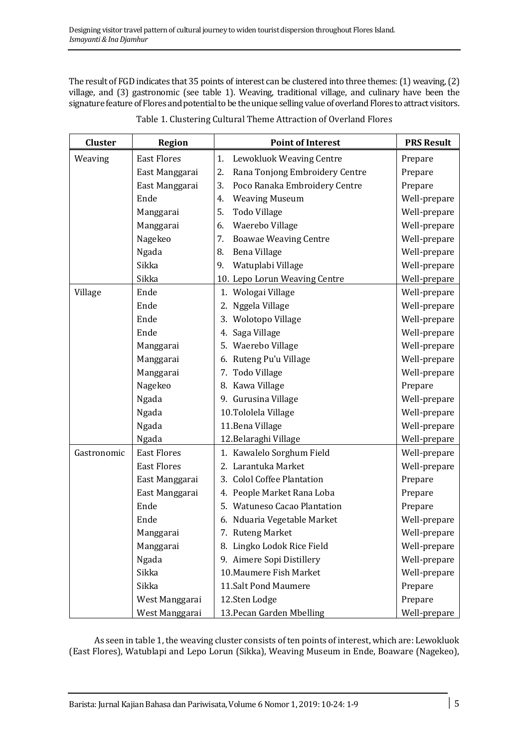The result of FGD indicates that 35 points of interest can be clustered into three themes: (1) weaving, (2) village, and (3) gastronomic (see table 1). Weaving, traditional village, and culinary have been the signature feature of Flores and potential to be the unique selling value of overland Flores to attract visitors.

| <b>Cluster</b> | <b>Region</b>      | <b>Point of Interest</b>             | <b>PRS Result</b> |
|----------------|--------------------|--------------------------------------|-------------------|
| Weaving        | <b>East Flores</b> | Lewokluok Weaving Centre<br>1.       | Prepare           |
|                | East Manggarai     | Rana Tonjong Embroidery Centre<br>2. | Prepare           |
|                | East Manggarai     | Poco Ranaka Embroidery Centre<br>3.  | Prepare           |
|                | Ende               | <b>Weaving Museum</b><br>4.          | Well-prepare      |
|                | Manggarai          | 5.<br>Todo Village                   | Well-prepare      |
|                | Manggarai          | Waerebo Village<br>6.                | Well-prepare      |
|                | Nagekeo            | <b>Boawae Weaving Centre</b><br>7.   | Well-prepare      |
|                | Ngada              | Bena Village<br>8.                   | Well-prepare      |
|                | Sikka              | Watuplabi Village<br>9.              | Well-prepare      |
|                | Sikka              | 10. Lepo Lorun Weaving Centre        | Well-prepare      |
| Village        | Ende               | 1. Wologai Village                   | Well-prepare      |
|                | Ende               | 2. Nggela Village                    | Well-prepare      |
|                | Ende               | 3. Wolotopo Village                  | Well-prepare      |
|                | Ende               | 4. Saga Village                      | Well-prepare      |
|                | Manggarai          | 5. Waerebo Village                   | Well-prepare      |
|                | Manggarai          | 6. Ruteng Pu'u Village               | Well-prepare      |
|                | Manggarai          | 7. Todo Village                      | Well-prepare      |
|                | Nagekeo            | 8. Kawa Village                      | Prepare           |
|                | Ngada              | 9. Gurusina Village                  | Well-prepare      |
|                | Ngada              | 10.Tololela Village                  | Well-prepare      |
|                | Ngada              | 11. Bena Village                     | Well-prepare      |
|                | Ngada              | 12. Belaraghi Village                | Well-prepare      |
| Gastronomic    | <b>East Flores</b> | 1. Kawalelo Sorghum Field            | Well-prepare      |
|                | <b>East Flores</b> | 2. Larantuka Market                  | Well-prepare      |
|                | East Manggarai     | 3. Colol Coffee Plantation           | Prepare           |
|                | East Manggarai     | 4. People Market Rana Loba           | Prepare           |
|                | Ende               | 5. Watuneso Cacao Plantation         | Prepare           |
|                | Ende               | 6. Nduaria Vegetable Market          | Well-prepare      |
|                | Manggarai          | 7. Ruteng Market                     | Well-prepare      |
|                | Manggarai          | 8. Lingko Lodok Rice Field           | Well-prepare      |
|                | Ngada              | 9. Aimere Sopi Distillery            | Well-prepare      |
|                | Sikka              | 10. Maumere Fish Market              | Well-prepare      |
|                | Sikka              | 11.Salt Pond Maumere                 | Prepare           |
|                | West Manggarai     | 12.Sten Lodge                        | Prepare           |
|                | West Manggarai     | 13. Pecan Garden Mbelling            | Well-prepare      |

Table 1. Clustering Cultural Theme Attraction of Overland Flores

As seen in table 1, the weaving cluster consists of ten points of interest, which are: Lewokluok (East Flores), Watublapi and Lepo Lorun (Sikka), Weaving Museum in Ende, Boaware (Nagekeo),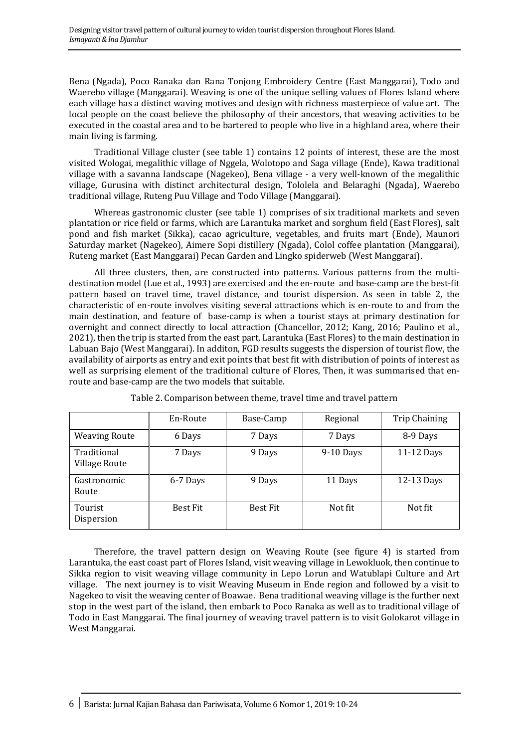Bena (Ngada), Poco Ranaka dan Rana Tonjong Embroidery Centre (East Manggarai), Todo and Waerebo village (Manggarai). Weaving is one of the unique selling values of Flores Island where each village has a distinct waving motives and design with richness masterpiece of value art. The local people on the coast believe the philosophy of their ancestors, that weaving activities to be executed in the coastal area and to be bartered to people who live in a highland area, where their main living is farming.

Traditional Village cluster (see table 1) contains 12 points of interest, these are the most visited Wologai, megalithic village of Nggela, Wolotopo and Saga village (Ende), Kawa traditional village with a savanna landscape (Nagekeo), Bena village - a very well-known of the megalithic village, Gurusina with distinct architectural design, Tololela and Belaraghi (Ngada), Waerebo traditional village, Ruteng Puu Village and Todo Village (Manggarai).

Whereas gastronomic cluster (see table 1) comprises of six traditional markets and seven plantation or rice field or farms, which are Larantuka market and sorghum field (East Flores), salt pond and fish market (Sikka), cacao agriculture, vegetables, and fruits mart (Ende), Maunori Saturday market (Nagekeo), Aimere Sopi distillery (Ngada), Colol coffee plantation (Manggarai), Ruteng market (East Manggarai) Pecan Garden and Lingko spiderweb (West Manggarai).

All three clusters, then, are constructed into patterns. Various patterns from the multidestination model (Lue et al., 1993) are exercised and the en-route and base-camp are the best-fit pattern based on travel time, travel distance, and tourist dispersion. As seen in table 2, the characteristic of en-route involves visiting several attractions which is en-route to and from the main destination, and feature of base-camp is when a tourist stays at primary destination for overnight and connect directly to local attraction (Chancellor, 2012; Kang, 2016; Paulino et al., 2021), then the trip is started from the east part, Larantuka (East Flores) to the main destination in Labuan Bajo (West Manggarai). In additon, FGD results suggests the dispersion of tourist flow, the availability of airports as entry and exit points that best fit with distribution of points of interest as well as surprising element of the traditional culture of Flores, Then, it was summarised that enroute and base-camp are the two models that suitable.

|                                     | En-Route        | Base-Camp       | Regional    | <b>Trip Chaining</b> |
|-------------------------------------|-----------------|-----------------|-------------|----------------------|
| <b>Weaving Route</b>                | 6 Days          | 7 Days          | 7 Days      | 8-9 Days             |
| Traditional<br><b>Village Route</b> | 7 Days          | 9 Days          | $9-10$ Days | 11-12 Days           |
| Gastronomic<br>Route                | 6-7 Days        | 9 Days          | 11 Days     | 12-13 Days           |
| Tourist<br>Dispersion               | <b>Best Fit</b> | <b>Best Fit</b> | Not fit     | Not fit              |

Table 2. Comparison between theme, travel time and travel pattern

Therefore, the travel pattern design on Weaving Route (see figure 4) is started from Larantuka, the east coast part of Flores Island, visit weaving village in Lewokluok, then continue to Sikka region to visit weaving village community in Lepo Lorun and Watublapi Culture and Art village. The next journey is to visit Weaving Museum in Ende region and followed by a visit to Nagekeo to visit the weaving center of Boawae. Bena traditional weaving village is the further next stop in the west part of the island, then embark to Poco Ranaka as well as to traditional village of Todo in East Manggarai. The final journey of weaving travel pattern is to visit Golokarot village in West Manggarai.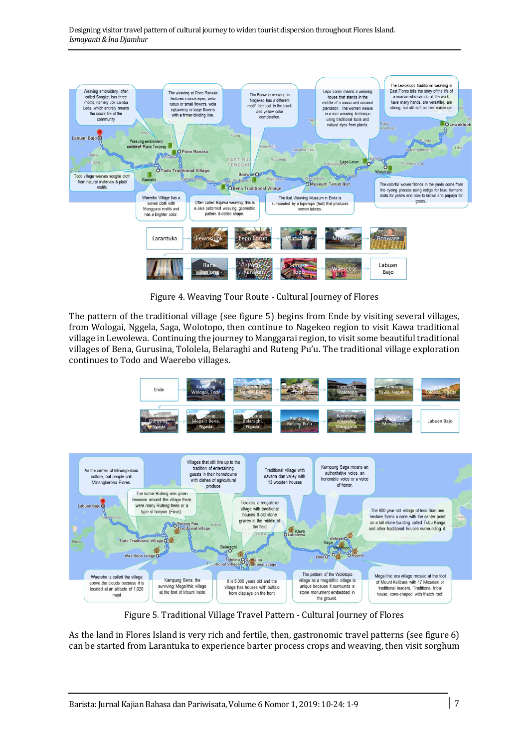

Figure 4. Weaving Tour Route - Cultural Journey of Flores

The pattern of the traditional village (see figure 5) begins from Ende by visiting several villages, from Wologai, Nggela, Saga, Wolotopo, then continue to Nagekeo region to visit Kawa traditional village in Lewolewa. Continuing the journey to Manggarai region, to visit some beautiful traditional villages of Bena, Gurusina, Tololela, Belaraghi and Ruteng Pu'u. The traditional village exploration continues to Todo and Waerebo villages.



Figure 5*.* Traditional Village Travel Pattern - Cultural Journey of Flores

As the land in Flores Island is very rich and fertile, then, gastronomic travel patterns (see figure 6) can be started from Larantuka to experience barter process crops and weaving, then visit sorghum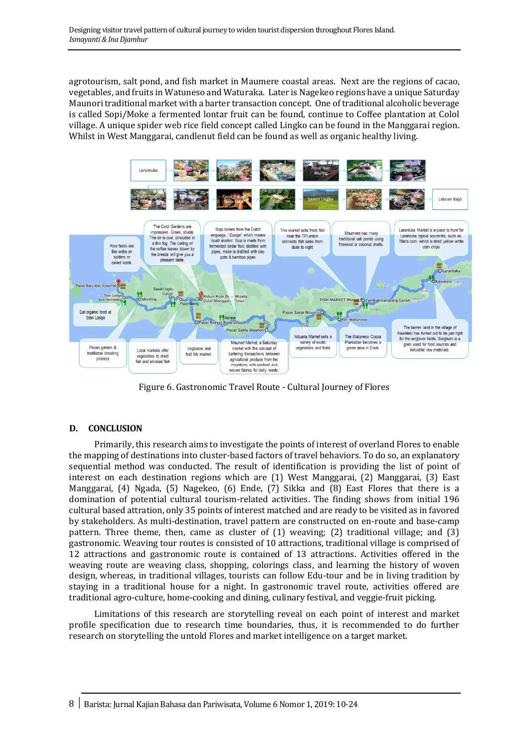agrotourism, salt pond, and fish market in Maumere coastal areas. Next are the regions of cacao, vegetables, and fruits in Watuneso and Waturaka. Later is Nagekeo regions have a unique Saturday Maunori traditional market with a barter transaction concept. One of traditional alcoholic beverage is called Sopi/Moke a fermented lontar fruit can be found, continue to Coffee plantation at Colol village. A unique spider web rice field concept called Lingko can be found in the Manggarai region. Whilst in West Manggarai, candlenut field can be found as well as organic healthy living.



Figure 6. Gastronomic Travel Route - Cultural Journey of Flores

# **D. CONCLUSION**

Primarily, this research aims to investigate the points of interest of overland Flores to enable the mapping of destinations into cluster-based factors of travel behaviors. To do so, an explanatory sequential method was conducted. The result of identification is providing the list of point of interest on each destination regions which are (1) West Manggarai, (2) Manggarai, (3) East Manggarai, (4) Ngada, (5) Nagekeo, (6) Ende, (7) Sikka and (8) East Flores that there is a domination of potential cultural tourism-related activities. The finding shows from initial 196 cultural based attration, only 35 points of interest matched and are ready to be visited as in favored by stakeholders. As multi-destination, travel pattern are constructed on en-route and base-camp pattern. Three theme, then, came as cluster of (1) weaving; (2) traditional village; and (3) gastronomic. Weaving tour routes is consisted of 10 attractions, traditional village is comprised of 12 attractions and gastronomic route is contained of 13 attractions. Activities offered in the weaving route are weaving class, shopping, colorings class, and learning the history of woven design, whereas, in traditional villages, tourists can follow Edu-tour and be in living tradition by staying in a traditional house for a night. In gastronomic travel route, activities offered are traditional agro-culture, home-cooking and dining, culinary festival, and veggie-fruit picking.

Limitations of this research are storytelling reveal on each point of interest and market profile specification due to research time boundaries, thus, it is recommended to do further research on storytelling the untold Flores and market intelligence on a target market.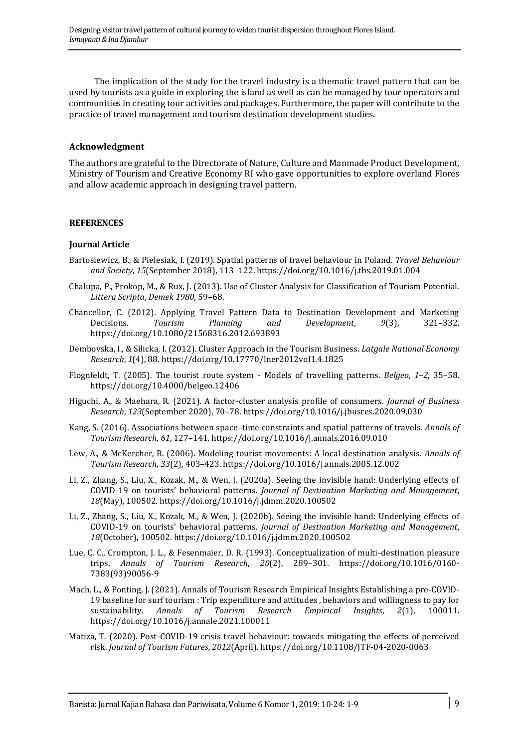The implication of the study for the travel industry is a thematic travel pattern that can be used by tourists as a guide in exploring the island as well as can be managed by tour operators and communities in creating tour activities and packages. Furthermore, the paper will contribute to the practice of travel management and tourism destination development studies.

### **Acknowledgment**

The authors are grateful to the Directorate of Nature, Culture and Manmade Product Development, Ministry of Tourism and Creative Economy RI who gave opportunities to explore overland Flores and allow academic approach in designing travel pattern.

#### **REFERENCES**

#### **Journal Article**

- Bartosiewicz, B., & Pielesiak, I. (2019). Spatial patterns of travel behaviour in Poland. *Travel Behaviour and Society*, *15*(September 2018), 113–122. https://doi.org/10.1016/j.tbs.2019.01.004
- Chalupa, P., Prokop, M., & Rux, J. (2013). Use of Cluster Analysis for Classification of Tourism Potential. *Littera Scripta*, *Demek 1980*, 59–68.
- Chancellor, C. (2012). Applying Travel Pattern Data to Destination Development and Marketing Decisions. *Tourism Planning and Development*, *9*(3), 321–332. https://doi.org/10.1080/21568316.2012.693893
- Dembovska, I., & Silicka, I. (2012). Cluster Approach in the Tourism Business. *Latgale National Economy Research*, *1*(4), 88. https://doi.org/10.17770/lner2012vol1.4.1825
- Flognfeldt, T. (2005). The tourist route system Models of travelling patterns. *Belgeo*, *1*–*2*, 35–58. https://doi.org/10.4000/belgeo.12406
- Higuchi, A., & Maehara, R. (2021). A factor-cluster analysis profile of consumers. *Journal of Business Research*, *123*(September 2020), 70–78. https://doi.org/10.1016/j.jbusres.2020.09.030
- Kang, S. (2016). Associations between space–time constraints and spatial patterns of travels. *Annals of Tourism Research*, *61*, 127–141. https://doi.org/10.1016/j.annals.2016.09.010
- Lew, A., & McKercher, B. (2006). Modeling tourist movements: A local destination analysis. *Annals of Tourism Research*, *33*(2), 403–423. https://doi.org/10.1016/j.annals.2005.12.002
- Li, Z., Zhang, S., Liu, X., Kozak, M., & Wen, J. (2020a). Seeing the invisible hand: Underlying effects of COVID-19 on tourists' behavioral patterns. *Journal of Destination Marketing and Management*, *18*(May), 100502. https://doi.org/10.1016/j.jdmm.2020.100502
- Li, Z., Zhang, S., Liu, X., Kozak, M., & Wen, J. (2020b). Seeing the invisible hand: Underlying effects of COVID-19 on tourists' behavioral patterns. *Journal of Destination Marketing and Management*, *18*(October), 100502. https://doi.org/10.1016/j.jdmm.2020.100502
- Lue, C. C., Crompton, J. L., & Fesenmaier, D. R. (1993). Conceptualization of multi-destination pleasure trips. *Annals of Tourism Research*, *20*(2), 289–301. https://doi.org/10.1016/0160- 7383(93)90056-9
- Mach, L., & Ponting, J. (2021). Annals of Tourism Research Empirical Insights Establishing a pre-COVID-19 baseline for surf tourism : Trip expenditure and attitudes , behaviors and willingness to pay for sustainability. *Annals of Tourism Research Empirical Insights*, *2*(1), 100011. https://doi.org/10.1016/j.annale.2021.100011
- Matiza, T. (2020). Post-COVID-19 crisis travel behaviour: towards mitigating the effects of perceived risk. *Journal of Tourism Futures*, *2012*(April). https://doi.org/10.1108/JTF-04-2020-0063